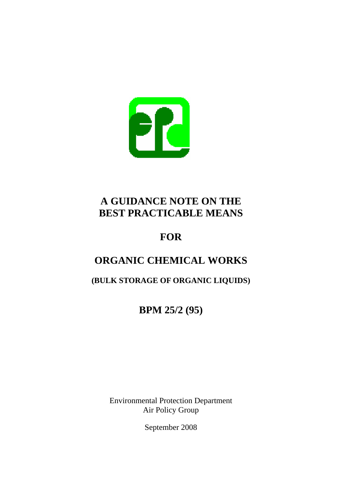

# **BEST PRACTICABLE MEANS<br>FOR A GUIDANCE NOTE ON THE**

## **ORGANIC CHEMICAL WORKS**

**(BULK STORAGE OF ORGANIC LIQUIDS)** 

**BPM 25/2 (95)** 

Environmental Protection Department Air Policy Group

September 2008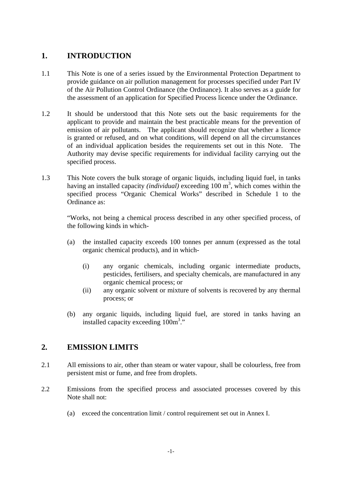#### 1. **1.INTRODUCTION**

- 1.1 This Note is one of a series issued by the Environmental Protection Department to provide guidance on air pollution management for processes specified under Part IV of the Air Pollution Control Ordinance (the Ordinance). It also serves as a guide for the assessment of an application for Specified Process licence under the Ordinance.
- $1.2$ It should be understood that this Note sets out the basic requirements for the applicant to provide and maintain the best practicable means for the prevention of emission of air pollutants. The applicant should recognize that whether a licence is granted or refused, and on what conditions, will depend on all the circumstances of an individual application besides the requirements set out in this Note. The Authority may devise specific requirements for individual facility carrying out the specified process.
- 1.3 This Note covers the bulk storage of organic liquids, including liquid fuel, in tanks having an installed capacity *(individual)* exceeding 100 m<sup>3</sup>, which comes within the specified process "Organic Chemical Works" described in Schedule 1 to the Ordinance as:

"Works, not being a chemical process described in any other specified process, of the following kinds in which-

- $(a)$ the installed capacity exceeds 100 tonnes per annum (expressed as the total organic chemical products), and in which-
	- $(i)$ any organic chemicals, including organic intermediate products, pesticides, fertilisers, and specialty chemicals, are manufactured in any organic chemical process; or
	- $(ii)$ any organic solvent or mixture of solvents is recovered by any thermal process; or
- $(b)$ any organic liquids, including liquid fuel, are stored in tanks having an installed capacity exceeding  $100m^3$ ."

### **2. EMISSION LIMITS**

- $2.1$ All emissions to air, other than steam or water vapour, shall be colourless, free from persistent mist or fume, and free from droplets.
- $2.2$ Emissions from the specified process and associated processes covered by this Note shall not:
	- (a) exceed the concentration limit / control requirement set out in Annex I.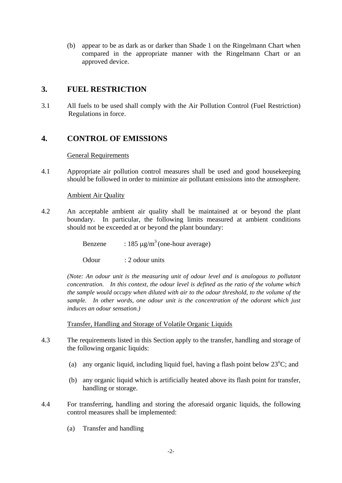(b) appear to be as dark as or darker than Shade 1 on the Ringelmann Chart when compared in the appropriate manner with the Ringelmann Chart or an approved device.

#### **3. FUEL RESTRICTION**

3.1 All fuels to be used shall comply with the Air Pollution Control (Fuel Restriction) Regulations in force.

#### **4. CONTROL OF EMISSIONS**

#### General Requirements

 $4.1$ 4.1Appropriate air pollution control measures shall be used and good housekeeping should be followed in order to minimize air pollutant emissions into the atmosphere.

#### Ambient Air Quality

- $4.2.$ An acceptable ambient air quality shall be maintained at or beyond the plant boundary. In particular, the following limits measured at ambient conditions should not be exceeded at or beyond the plant boundary:
	- Benzene :  $185 \text{ µg/m}^3$  (one-hour average)
	- Odour : 2 odour units

*(Note: An odour unit is the measuring unit of odour level and is analogous to pollutant concentration. In this context, the odour level is defined as the ratio of the volume which the sample would occupy when diluted with air to the odour threshold, to the volume of the sample. In other words, one odour unit is the concentration of the odorant which just induces an odour sensation.)* 

Transfer, Handling and Storage of Volatile Organic Liquids

- 43 The requirements listed in this Section apply to the transfer, handling and storage of the following organic liquids:
	- (a) any organic liquid, including liquid fuel, having a flash point below  $23^{\circ}$ C; and
	- (b) any organic liquid which is artificially heated above its flash point for transfer, handling or storage.
- $4.4$ 4.4For transferring, handling and storing the aforesaid organic liquids, the following control measures shall be implemented:
	- $(a)$ Transfer and handling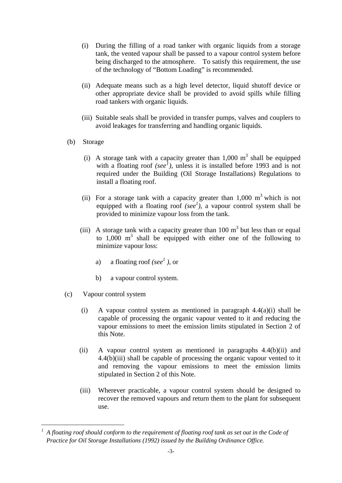- (i)During the filling of a road tanker with organic liquids from a storage tank, the vented vapour shall be passed to a vapour control system before being discharged to the atmosphere. To satisfy this requirement, the use of the technology of "Bottom Loading" is recommended.
- (ii) Adequate means such as a high level detector, liquid shutoff device or other appropriate device shall be provided to avoid spills while filling road tankers with organic liquids.
- (iii) Suitable seals shall be provided in transfer pumps, valves and couplers to avoid leakages for transferring and handling organic liquids.
- (b) Storage
	- (i) A storage tank with a capacity greater than  $1,000 \text{ m}^3$  shall be equipped with a floating roof  $(see<sup>1</sup>)$  $(see<sup>1</sup>)$  $(see<sup>1</sup>)$ , unless it is installed before 1993 and is not required under the Building (Oil Storage Installations) Regulations to install a floating roof.
	- (ii) For a storage tank with a capacity greater than  $1,000 \text{ m}^3$  which is not equipped with a floating roof  $(see<sup>1</sup>)$ , a vapour control system shall be provided to minimize vapour loss from the tank.
	- (iii) A storage tank with a capacity greater than  $100 \text{ m}^3$  but less than or equal to  $1,000$  m<sup>3</sup> shall be equipped with either one of the following to minimize vapour loss:
		- a) a) a floating roof *(see<sup>1</sup>)*, or
		- $b)$ a vapour control system.
- (c) Vapour control system

1

- $(i)$ A vapour control system as mentioned in paragraph  $4.4(a)(i)$  shall be capable of processing the organic vapour vented to it and reducing the vapour emissions to meet the emission limits stipulated in Section 2 of this Note.
- $(ii)$ A vapour control system as mentioned in paragraphs  $4.4(b)(ii)$  and 4.4(b)(iii) shall be capable of processing the organic vapour vented to it and removing the vapour emissions to meet the emission limits stipulated in Section 2 of this Note.
- $(iii)$ Wherever practicable, a vapour control system should be designed to recover the removed vapours and return them to the plant for subsequent use.

<span id="page-3-0"></span>*<sup>1</sup> A floating roof should conform to the requirement of floating roof tank as set out in the Code of Practice for Oil Storage Installations (1992) issued by the Building Ordinance Office.*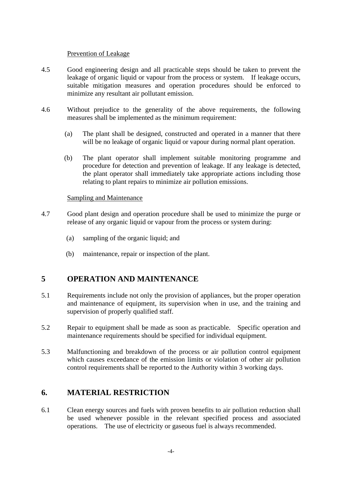#### Prevention of Leakage

- 4.5 Good engineering design and all practicable steps should be taken to prevent the leakage of organic liquid or vapour from the process or system. If leakage occurs, suitable mitigation measures and operation procedures should be enforced to minimize any resultant air pollutant emission.
- 4.6 Without prejudice to the generality of the above requirements, the following measures shall be implemented as the minimum requirement:
	- $(a)$ The plant shall be designed, constructed and operated in a manner that there will be no leakage of organic liquid or vapour during normal plant operation.
	- $(b)$ The plant operator shall implement suitable monitoring programme and procedure for detection and prevention of leakage. If any leakage is detected, the plant operator shall immediately take appropriate actions including those relating to plant repairs to minimize air pollution emissions.

#### Sampling and Maintenance

- 4.7 Good plant design and operation procedure shall be used to minimize the purge or release of any organic liquid or vapour from the process or system during:
	- $(a)$ sampling of the organic liquid; and
	- $(b)$ maintenance, repair or inspection of the plant.

#### 5 **5OPERATION AND MAINTENANCE**

- $5<sub>1</sub>$ Requirements include not only the provision of appliances, but the proper operation and maintenance of equipment, its supervision when in use, and the training and supervision of properly qualified staff.
- $5.2$ Repair to equipment shall be made as soon as practicable. Specific operation and maintenance requirements should be specified for individual equipment.
- 5.3 5.3Malfunctioning and breakdown of the process or air pollution control equipment which causes exceedance of the emission limits or violation of other air pollution control requirements shall be reported to the Authority within 3 working days.

#### **6. MATERIAL RESTRICTION**

6.1 Clean energy sources and fuels with proven benefits to air pollution reduction shall be used whenever possible in the relevant specified process and associated operations. The use of electricity or gaseous fuel is always recommended.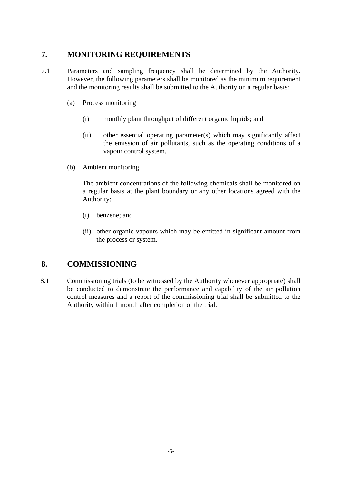### **7. MONITORING REQUIREMENTS**

- $7.1$ Parameters and sampling frequency shall be determined by the Authority. However, the following parameters shall be monitored as the minimum requirement and the monitoring results shall be submitted to the Authority on a regular basis:
	- (a) Process monitoring
		- $(i)$ monthly plant throughput of different organic liquids; and
		- $(ii)$  $other$  essential operating parameter(s) which may significantly affect the emission of air pollutants, such as the operating conditions of a vapour control system.
	- (b) Ambient monitoring

The ambient concentrations of the following chemicals shall be monitored on a regular basis at the plant boundary or any other locations agreed with the Authority:

- (i) benzene; and
- (ii) other organic vapours which may be emitted in significant amount from the process or system.

### **8. COMMISSIONING**

8.1 Commissioning trials (to be witnessed by the Authority whenever appropriate) shall be conducted to demonstrate the performance and capability of the air pollution control measures and a report of the commissioning trial shall be submitted to the Authority within 1 month after completion of the trial.